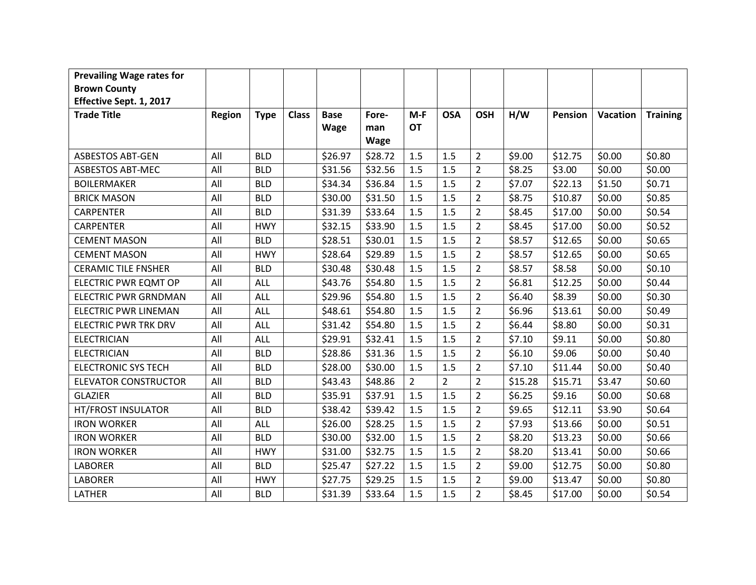| <b>Prevailing Wage rates for</b> |               |             |              |             |         |                |                |                |         |         |          |                 |
|----------------------------------|---------------|-------------|--------------|-------------|---------|----------------|----------------|----------------|---------|---------|----------|-----------------|
| <b>Brown County</b>              |               |             |              |             |         |                |                |                |         |         |          |                 |
| Effective Sept. 1, 2017          |               |             |              |             |         |                |                |                |         |         |          |                 |
| <b>Trade Title</b>               | <b>Region</b> | <b>Type</b> | <b>Class</b> | <b>Base</b> | Fore-   | $M-F$          | <b>OSA</b>     | <b>OSH</b>     | H/W     | Pension | Vacation | <b>Training</b> |
|                                  |               |             |              | <b>Wage</b> | man     | <b>OT</b>      |                |                |         |         |          |                 |
|                                  |               |             |              |             | Wage    |                |                |                |         |         |          |                 |
| <b>ASBESTOS ABT-GEN</b>          | All           | <b>BLD</b>  |              | \$26.97     | \$28.72 | 1.5            | 1.5            | $\overline{2}$ | \$9.00  | \$12.75 | \$0.00   | \$0.80          |
| <b>ASBESTOS ABT-MEC</b>          | All           | <b>BLD</b>  |              | \$31.56     | \$32.56 | 1.5            | 1.5            | $\overline{2}$ | \$8.25  | \$3.00  | \$0.00   | \$0.00          |
| <b>BOILERMAKER</b>               | All           | <b>BLD</b>  |              | \$34.34     | \$36.84 | 1.5            | 1.5            | $\overline{2}$ | \$7.07  | \$22.13 | \$1.50   | \$0.71          |
| <b>BRICK MASON</b>               | All           | <b>BLD</b>  |              | \$30.00     | \$31.50 | 1.5            | 1.5            | $\overline{2}$ | \$8.75  | \$10.87 | \$0.00   | \$0.85          |
| <b>CARPENTER</b>                 | All           | <b>BLD</b>  |              | \$31.39     | \$33.64 | 1.5            | 1.5            | $\overline{2}$ | \$8.45  | \$17.00 | \$0.00   | \$0.54          |
| <b>CARPENTER</b>                 | All           | <b>HWY</b>  |              | \$32.15     | \$33.90 | 1.5            | 1.5            | $\overline{2}$ | \$8.45  | \$17.00 | \$0.00   | \$0.52          |
| <b>CEMENT MASON</b>              | All           | <b>BLD</b>  |              | \$28.51     | \$30.01 | 1.5            | 1.5            | $\overline{2}$ | \$8.57  | \$12.65 | \$0.00   | \$0.65          |
| <b>CEMENT MASON</b>              | All           | <b>HWY</b>  |              | \$28.64     | \$29.89 | 1.5            | 1.5            | $\overline{2}$ | \$8.57  | \$12.65 | \$0.00   | \$0.65          |
| <b>CERAMIC TILE FNSHER</b>       | All           | <b>BLD</b>  |              | \$30.48     | \$30.48 | 1.5            | 1.5            | $\overline{2}$ | \$8.57  | \$8.58  | \$0.00   | \$0.10          |
| ELECTRIC PWR EQMT OP             | All           | ALL         |              | \$43.76     | \$54.80 | 1.5            | 1.5            | $\overline{2}$ | \$6.81  | \$12.25 | \$0.00   | \$0.44          |
| <b>ELECTRIC PWR GRNDMAN</b>      | All           | ALL         |              | \$29.96     | \$54.80 | 1.5            | 1.5            | $\overline{2}$ | \$6.40  | \$8.39  | \$0.00   | \$0.30          |
| <b>ELECTRIC PWR LINEMAN</b>      | All           | <b>ALL</b>  |              | \$48.61     | \$54.80 | 1.5            | 1.5            | $\overline{2}$ | \$6.96  | \$13.61 | \$0.00   | \$0.49          |
| <b>ELECTRIC PWR TRK DRV</b>      | All           | ALL         |              | \$31.42     | \$54.80 | 1.5            | 1.5            | $\overline{2}$ | \$6.44  | \$8.80  | \$0.00   | \$0.31          |
| <b>ELECTRICIAN</b>               | All           | <b>ALL</b>  |              | \$29.91     | \$32.41 | 1.5            | 1.5            | $\overline{2}$ | \$7.10  | \$9.11  | \$0.00   | \$0.80          |
| <b>ELECTRICIAN</b>               | All           | <b>BLD</b>  |              | \$28.86     | \$31.36 | 1.5            | 1.5            | $\overline{2}$ | \$6.10  | \$9.06  | \$0.00   | \$0.40          |
| <b>ELECTRONIC SYS TECH</b>       | All           | <b>BLD</b>  |              | \$28.00     | \$30.00 | 1.5            | 1.5            | $\overline{2}$ | \$7.10  | \$11.44 | \$0.00   | \$0.40          |
| <b>ELEVATOR CONSTRUCTOR</b>      | All           | <b>BLD</b>  |              | \$43.43     | \$48.86 | $\overline{2}$ | $\overline{2}$ | $\overline{2}$ | \$15.28 | \$15.71 | \$3.47   | \$0.60          |
| <b>GLAZIER</b>                   | All           | <b>BLD</b>  |              | \$35.91     | \$37.91 | 1.5            | 1.5            | $\overline{2}$ | \$6.25  | \$9.16  | \$0.00   | \$0.68          |
| HT/FROST INSULATOR               | All           | <b>BLD</b>  |              | \$38.42     | \$39.42 | 1.5            | 1.5            | $\overline{2}$ | \$9.65  | \$12.11 | \$3.90   | \$0.64          |
| <b>IRON WORKER</b>               | All           | ALL         |              | \$26.00     | \$28.25 | 1.5            | 1.5            | $\overline{2}$ | \$7.93  | \$13.66 | \$0.00   | \$0.51          |
| <b>IRON WORKER</b>               | All           | <b>BLD</b>  |              | \$30.00     | \$32.00 | 1.5            | 1.5            | $\overline{2}$ | \$8.20  | \$13.23 | \$0.00   | \$0.66          |
| <b>IRON WORKER</b>               | All           | <b>HWY</b>  |              | \$31.00     | \$32.75 | 1.5            | 1.5            | $\overline{2}$ | \$8.20  | \$13.41 | \$0.00   | \$0.66          |
| <b>LABORER</b>                   | All           | <b>BLD</b>  |              | \$25.47     | \$27.22 | 1.5            | 1.5            | $\overline{2}$ | \$9.00  | \$12.75 | \$0.00   | \$0.80          |
| <b>LABORER</b>                   | All           | <b>HWY</b>  |              | \$27.75     | \$29.25 | 1.5            | 1.5            | $\overline{2}$ | \$9.00  | \$13.47 | \$0.00   | \$0.80          |
| LATHER                           | All           | <b>BLD</b>  |              | \$31.39     | \$33.64 | 1.5            | 1.5            | $\overline{2}$ | \$8.45  | \$17.00 | \$0.00   | \$0.54          |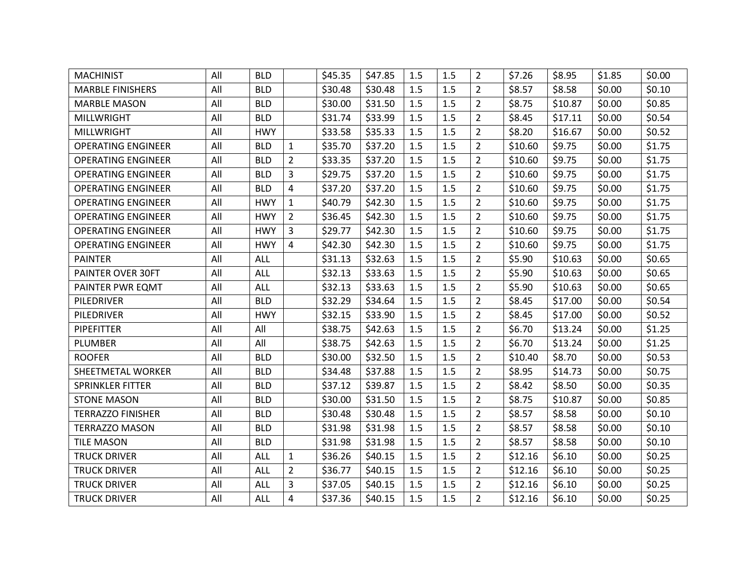| <b>MACHINIST</b>          | All | <b>BLD</b> |                | \$45.35 | \$47.85 | 1.5 | 1.5 | $\overline{2}$ | \$7.26  | \$8.95  | \$1.85 | \$0.00 |
|---------------------------|-----|------------|----------------|---------|---------|-----|-----|----------------|---------|---------|--------|--------|
| <b>MARBLE FINISHERS</b>   | All | <b>BLD</b> |                | \$30.48 | \$30.48 | 1.5 | 1.5 | $\overline{2}$ | \$8.57  | \$8.58  | \$0.00 | \$0.10 |
| <b>MARBLE MASON</b>       | All | <b>BLD</b> |                | \$30.00 | \$31.50 | 1.5 | 1.5 | $\overline{2}$ | \$8.75  | \$10.87 | \$0.00 | \$0.85 |
| <b>MILLWRIGHT</b>         | All | <b>BLD</b> |                | \$31.74 | \$33.99 | 1.5 | 1.5 | $\overline{2}$ | \$8.45  | \$17.11 | \$0.00 | \$0.54 |
| <b>MILLWRIGHT</b>         | All | <b>HWY</b> |                | \$33.58 | \$35.33 | 1.5 | 1.5 | $\overline{2}$ | \$8.20  | \$16.67 | \$0.00 | \$0.52 |
| <b>OPERATING ENGINEER</b> | All | <b>BLD</b> | $\mathbf{1}$   | \$35.70 | \$37.20 | 1.5 | 1.5 | $\overline{2}$ | \$10.60 | \$9.75  | \$0.00 | \$1.75 |
| <b>OPERATING ENGINEER</b> | All | <b>BLD</b> | $\overline{2}$ | \$33.35 | \$37.20 | 1.5 | 1.5 | $\overline{2}$ | \$10.60 | \$9.75  | \$0.00 | \$1.75 |
| <b>OPERATING ENGINEER</b> | All | <b>BLD</b> | 3              | \$29.75 | \$37.20 | 1.5 | 1.5 | $\overline{2}$ | \$10.60 | \$9.75  | \$0.00 | \$1.75 |
| <b>OPERATING ENGINEER</b> | All | <b>BLD</b> | $\overline{4}$ | \$37.20 | \$37.20 | 1.5 | 1.5 | $\overline{2}$ | \$10.60 | \$9.75  | \$0.00 | \$1.75 |
| <b>OPERATING ENGINEER</b> | All | <b>HWY</b> | $\mathbf{1}$   | \$40.79 | \$42.30 | 1.5 | 1.5 | $\overline{2}$ | \$10.60 | \$9.75  | \$0.00 | \$1.75 |
| <b>OPERATING ENGINEER</b> | All | <b>HWY</b> | $\overline{2}$ | \$36.45 | \$42.30 | 1.5 | 1.5 | $\overline{2}$ | \$10.60 | \$9.75  | \$0.00 | \$1.75 |
| <b>OPERATING ENGINEER</b> | All | <b>HWY</b> | 3              | \$29.77 | \$42.30 | 1.5 | 1.5 | $\overline{2}$ | \$10.60 | \$9.75  | \$0.00 | \$1.75 |
| <b>OPERATING ENGINEER</b> | All | <b>HWY</b> | 4              | \$42.30 | \$42.30 | 1.5 | 1.5 | $\overline{2}$ | \$10.60 | \$9.75  | \$0.00 | \$1.75 |
| <b>PAINTER</b>            | All | <b>ALL</b> |                | \$31.13 | \$32.63 | 1.5 | 1.5 | $\overline{2}$ | \$5.90  | \$10.63 | \$0.00 | \$0.65 |
| <b>PAINTER OVER 30FT</b>  | All | <b>ALL</b> |                | \$32.13 | \$33.63 | 1.5 | 1.5 | $\overline{2}$ | \$5.90  | \$10.63 | \$0.00 | \$0.65 |
| PAINTER PWR EQMT          | All | ALL        |                | \$32.13 | \$33.63 | 1.5 | 1.5 | $\overline{2}$ | \$5.90  | \$10.63 | \$0.00 | \$0.65 |
| PILEDRIVER                | All | <b>BLD</b> |                | \$32.29 | \$34.64 | 1.5 | 1.5 | $\overline{2}$ | \$8.45  | \$17.00 | \$0.00 | \$0.54 |
| PILEDRIVER                | All | <b>HWY</b> |                | \$32.15 | \$33.90 | 1.5 | 1.5 | $\overline{2}$ | \$8.45  | \$17.00 | \$0.00 | \$0.52 |
| <b>PIPEFITTER</b>         | All | All        |                | \$38.75 | \$42.63 | 1.5 | 1.5 | $\overline{2}$ | \$6.70  | \$13.24 | \$0.00 | \$1.25 |
| <b>PLUMBER</b>            | All | All        |                | \$38.75 | \$42.63 | 1.5 | 1.5 | $\overline{2}$ | \$6.70  | \$13.24 | \$0.00 | \$1.25 |
| <b>ROOFER</b>             | All | <b>BLD</b> |                | \$30.00 | \$32.50 | 1.5 | 1.5 | $\overline{2}$ | \$10.40 | \$8.70  | \$0.00 | \$0.53 |
| SHEETMETAL WORKER         | All | <b>BLD</b> |                | \$34.48 | \$37.88 | 1.5 | 1.5 | $\overline{2}$ | \$8.95  | \$14.73 | \$0.00 | \$0.75 |
| <b>SPRINKLER FITTER</b>   | All | <b>BLD</b> |                | \$37.12 | \$39.87 | 1.5 | 1.5 | $\overline{2}$ | \$8.42  | \$8.50  | \$0.00 | \$0.35 |
| <b>STONE MASON</b>        | All | <b>BLD</b> |                | \$30.00 | \$31.50 | 1.5 | 1.5 | $\overline{2}$ | \$8.75  | \$10.87 | \$0.00 | \$0.85 |
| <b>TERRAZZO FINISHER</b>  | All | <b>BLD</b> |                | \$30.48 | \$30.48 | 1.5 | 1.5 | $\overline{2}$ | \$8.57  | \$8.58  | \$0.00 | \$0.10 |
| <b>TERRAZZO MASON</b>     | All | <b>BLD</b> |                | \$31.98 | \$31.98 | 1.5 | 1.5 | $\overline{2}$ | \$8.57  | \$8.58  | \$0.00 | \$0.10 |
| <b>TILE MASON</b>         | All | <b>BLD</b> |                | \$31.98 | \$31.98 | 1.5 | 1.5 | $\overline{2}$ | \$8.57  | \$8.58  | \$0.00 | \$0.10 |
| <b>TRUCK DRIVER</b>       | All | ALL        | $\mathbf{1}$   | \$36.26 | \$40.15 | 1.5 | 1.5 | $\overline{2}$ | \$12.16 | \$6.10  | \$0.00 | \$0.25 |
| <b>TRUCK DRIVER</b>       | All | ALL        | $\overline{2}$ | \$36.77 | \$40.15 | 1.5 | 1.5 | $\overline{2}$ | \$12.16 | \$6.10  | \$0.00 | \$0.25 |
| <b>TRUCK DRIVER</b>       | All | <b>ALL</b> | 3              | \$37.05 | \$40.15 | 1.5 | 1.5 | $\overline{2}$ | \$12.16 | \$6.10  | \$0.00 | \$0.25 |
| <b>TRUCK DRIVER</b>       | All | <b>ALL</b> | 4              | \$37.36 | \$40.15 | 1.5 | 1.5 | $\overline{2}$ | \$12.16 | \$6.10  | \$0.00 | \$0.25 |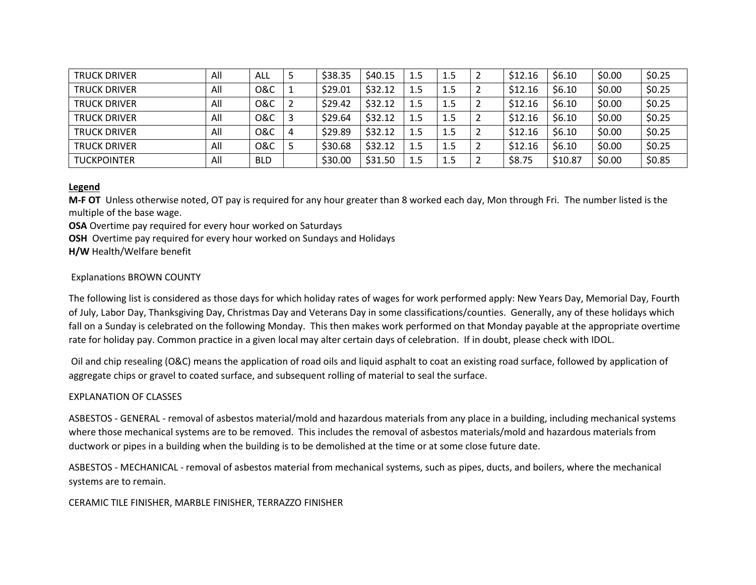| <b>TRUCK DRIVER</b> | All | ALL            | \$38.35 | \$40.15 | 1.5 | 1.5 | z | \$12.16 | \$6.10  | \$0.00 | \$0.25 |
|---------------------|-----|----------------|---------|---------|-----|-----|---|---------|---------|--------|--------|
| <b>TRUCK DRIVER</b> | All | <b>0&amp;C</b> | \$29.01 | \$32.12 | 1.5 | 1.5 | ∠ | \$12.16 | \$6.10  | \$0.00 | \$0.25 |
| <b>TRUCK DRIVER</b> | All | 0&C            | \$29.42 | \$32.12 | 1.5 | 1.5 |   | \$12.16 | \$6.10  | \$0.00 | \$0.25 |
| <b>TRUCK DRIVER</b> | All | <b>O&amp;C</b> | \$29.64 | \$32.12 | 1.5 | 1.5 |   | \$12.16 | \$6.10  | \$0.00 | \$0.25 |
| <b>TRUCK DRIVER</b> | All | <b>O&amp;C</b> | \$29.89 | \$32.12 | 1.5 | 1.5 | 2 | \$12.16 | \$6.10  | \$0.00 | \$0.25 |
| <b>TRUCK DRIVER</b> | All | 0&C            | \$30.68 | \$32.12 | 1.5 | 1.5 | ∠ | \$12.16 | \$6.10  | \$0.00 | \$0.25 |
| <b>TUCKPOINTER</b>  | All | <b>BLD</b>     | \$30.00 | \$31.50 | 1.5 | 1.5 |   | \$8.75  | \$10.87 | \$0.00 | \$0.85 |

### **Legend**

**M-F OT** Unless otherwise noted, OT pay is required for any hour greater than 8 worked each day, Mon through Fri. The number listed is the multiple of the base wage.

**OSA** Overtime pay required for every hour worked on Saturdays

**OSH** Overtime pay required for every hour worked on Sundays and Holidays

**H/W** Health/Welfare benefit

## Explanations BROWN COUNTY

The following list is considered as those days for which holiday rates of wages for work performed apply: New Years Day, Memorial Day, Fourth of July, Labor Day, Thanksgiving Day, Christmas Day and Veterans Day in some classifications/counties. Generally, any of these holidays which fall on a Sunday is celebrated on the following Monday. This then makes work performed on that Monday payable at the appropriate overtime rate for holiday pay. Common practice in a given local may alter certain days of celebration. If in doubt, please check with IDOL.

Oil and chip resealing (O&C) means the application of road oils and liquid asphalt to coat an existing road surface, followed by application of aggregate chips or gravel to coated surface, and subsequent rolling of material to seal the surface.

### EXPLANATION OF CLASSES

ASBESTOS - GENERAL - removal of asbestos material/mold and hazardous materials from any place in a building, including mechanical systems where those mechanical systems are to be removed. This includes the removal of asbestos materials/mold and hazardous materials from ductwork or pipes in a building when the building is to be demolished at the time or at some close future date.

ASBESTOS - MECHANICAL - removal of asbestos material from mechanical systems, such as pipes, ducts, and boilers, where the mechanical systems are to remain.

### CERAMIC TILE FINISHER, MARBLE FINISHER, TERRAZZO FINISHER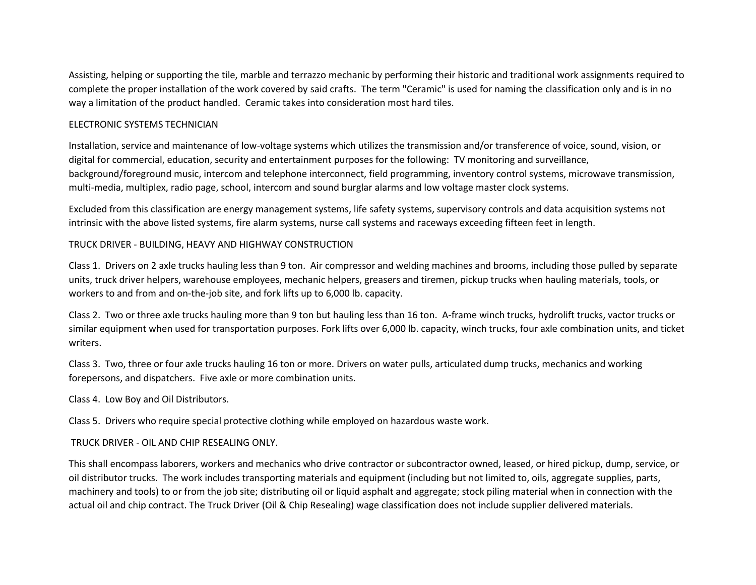Assisting, helping or supporting the tile, marble and terrazzo mechanic by performing their historic and traditional work assignments required to complete the proper installation of the work covered by said crafts. The term "Ceramic" is used for naming the classification only and is in no way a limitation of the product handled. Ceramic takes into consideration most hard tiles.

## ELECTRONIC SYSTEMS TECHNICIAN

Installation, service and maintenance of low-voltage systems which utilizes the transmission and/or transference of voice, sound, vision, or digital for commercial, education, security and entertainment purposes for the following: TV monitoring and surveillance, background/foreground music, intercom and telephone interconnect, field programming, inventory control systems, microwave transmission, multi-media, multiplex, radio page, school, intercom and sound burglar alarms and low voltage master clock systems.

Excluded from this classification are energy management systems, life safety systems, supervisory controls and data acquisition systems not intrinsic with the above listed systems, fire alarm systems, nurse call systems and raceways exceeding fifteen feet in length.

## TRUCK DRIVER - BUILDING, HEAVY AND HIGHWAY CONSTRUCTION

Class 1. Drivers on 2 axle trucks hauling less than 9 ton. Air compressor and welding machines and brooms, including those pulled by separate units, truck driver helpers, warehouse employees, mechanic helpers, greasers and tiremen, pickup trucks when hauling materials, tools, or workers to and from and on-the-job site, and fork lifts up to 6,000 lb. capacity.

Class 2. Two or three axle trucks hauling more than 9 ton but hauling less than 16 ton. A-frame winch trucks, hydrolift trucks, vactor trucks or similar equipment when used for transportation purposes. Fork lifts over 6,000 lb. capacity, winch trucks, four axle combination units, and ticket writers.

Class 3. Two, three or four axle trucks hauling 16 ton or more. Drivers on water pulls, articulated dump trucks, mechanics and working forepersons, and dispatchers. Five axle or more combination units.

Class 4. Low Boy and Oil Distributors.

Class 5. Drivers who require special protective clothing while employed on hazardous waste work.

### TRUCK DRIVER - OIL AND CHIP RESEALING ONLY.

This shall encompass laborers, workers and mechanics who drive contractor or subcontractor owned, leased, or hired pickup, dump, service, or oil distributor trucks. The work includes transporting materials and equipment (including but not limited to, oils, aggregate supplies, parts, machinery and tools) to or from the job site; distributing oil or liquid asphalt and aggregate; stock piling material when in connection with the actual oil and chip contract. The Truck Driver (Oil & Chip Resealing) wage classification does not include supplier delivered materials.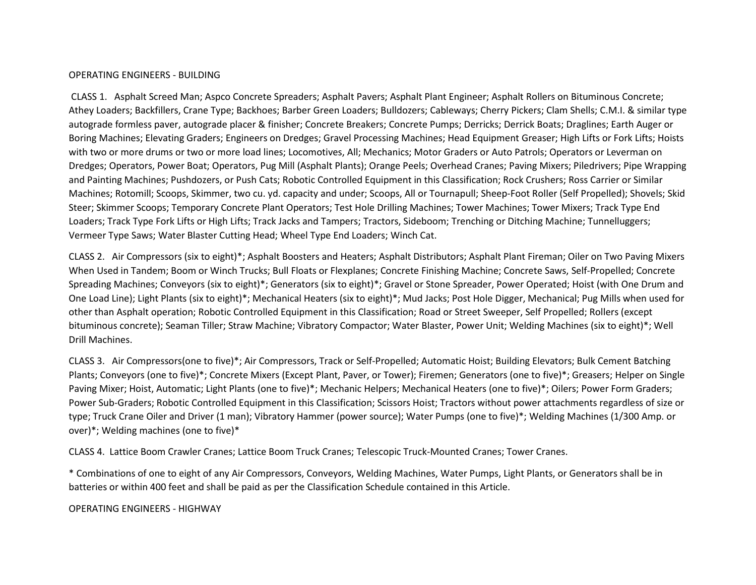### OPERATING ENGINEERS - BUILDING

CLASS 1. Asphalt Screed Man; Aspco Concrete Spreaders; Asphalt Pavers; Asphalt Plant Engineer; Asphalt Rollers on Bituminous Concrete; Athey Loaders; Backfillers, Crane Type; Backhoes; Barber Green Loaders; Bulldozers; Cableways; Cherry Pickers; Clam Shells; C.M.I. & similar type autograde formless paver, autograde placer & finisher; Concrete Breakers; Concrete Pumps; Derricks; Derrick Boats; Draglines; Earth Auger or Boring Machines; Elevating Graders; Engineers on Dredges; Gravel Processing Machines; Head Equipment Greaser; High Lifts or Fork Lifts; Hoists with two or more drums or two or more load lines; Locomotives, All; Mechanics; Motor Graders or Auto Patrols; Operators or Leverman on Dredges; Operators, Power Boat; Operators, Pug Mill (Asphalt Plants); Orange Peels; Overhead Cranes; Paving Mixers; Piledrivers; Pipe Wrapping and Painting Machines; Pushdozers, or Push Cats; Robotic Controlled Equipment in this Classification; Rock Crushers; Ross Carrier or Similar Machines; Rotomill; Scoops, Skimmer, two cu. yd. capacity and under; Scoops, All or Tournapull; Sheep-Foot Roller (Self Propelled); Shovels; Skid Steer; Skimmer Scoops; Temporary Concrete Plant Operators; Test Hole Drilling Machines; Tower Machines; Tower Mixers; Track Type End Loaders; Track Type Fork Lifts or High Lifts; Track Jacks and Tampers; Tractors, Sideboom; Trenching or Ditching Machine; Tunnelluggers; Vermeer Type Saws; Water Blaster Cutting Head; Wheel Type End Loaders; Winch Cat.

CLASS 2. Air Compressors (six to eight)\*; Asphalt Boosters and Heaters; Asphalt Distributors; Asphalt Plant Fireman; Oiler on Two Paving Mixers When Used in Tandem; Boom or Winch Trucks; Bull Floats or Flexplanes; Concrete Finishing Machine; Concrete Saws, Self-Propelled; Concrete Spreading Machines; Conveyors (six to eight)\*; Generators (six to eight)\*; Gravel or Stone Spreader, Power Operated; Hoist (with One Drum and One Load Line); Light Plants (six to eight)\*; Mechanical Heaters (six to eight)\*; Mud Jacks; Post Hole Digger, Mechanical; Pug Mills when used for other than Asphalt operation; Robotic Controlled Equipment in this Classification; Road or Street Sweeper, Self Propelled; Rollers (except bituminous concrete); Seaman Tiller; Straw Machine; Vibratory Compactor; Water Blaster, Power Unit; Welding Machines (six to eight)\*; Well Drill Machines.

CLASS 3. Air Compressors(one to five)\*; Air Compressors, Track or Self-Propelled; Automatic Hoist; Building Elevators; Bulk Cement Batching Plants; Conveyors (one to five)\*; Concrete Mixers (Except Plant, Paver, or Tower); Firemen; Generators (one to five)\*; Greasers; Helper on Single Paving Mixer; Hoist, Automatic; Light Plants (one to five)\*; Mechanic Helpers; Mechanical Heaters (one to five)\*; Oilers; Power Form Graders; Power Sub-Graders; Robotic Controlled Equipment in this Classification; Scissors Hoist; Tractors without power attachments regardless of size or type; Truck Crane Oiler and Driver (1 man); Vibratory Hammer (power source); Water Pumps (one to five)\*; Welding Machines (1/300 Amp. or over)\*; Welding machines (one to five)\*

CLASS 4. Lattice Boom Crawler Cranes; Lattice Boom Truck Cranes; Telescopic Truck-Mounted Cranes; Tower Cranes.

\* Combinations of one to eight of any Air Compressors, Conveyors, Welding Machines, Water Pumps, Light Plants, or Generators shall be in batteries or within 400 feet and shall be paid as per the Classification Schedule contained in this Article.

OPERATING ENGINEERS - HIGHWAY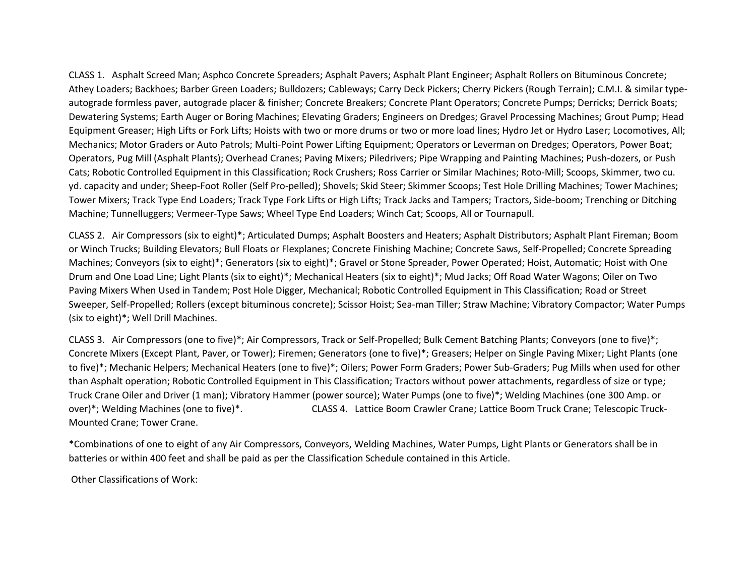CLASS 1. Asphalt Screed Man; Asphco Concrete Spreaders; Asphalt Pavers; Asphalt Plant Engineer; Asphalt Rollers on Bituminous Concrete; Athey Loaders; Backhoes; Barber Green Loaders; Bulldozers; Cableways; Carry Deck Pickers; Cherry Pickers (Rough Terrain); C.M.I. & similar typeautograde formless paver, autograde placer & finisher; Concrete Breakers; Concrete Plant Operators; Concrete Pumps; Derricks; Derrick Boats; Dewatering Systems; Earth Auger or Boring Machines; Elevating Graders; Engineers on Dredges; Gravel Processing Machines; Grout Pump; Head Equipment Greaser; High Lifts or Fork Lifts; Hoists with two or more drums or two or more load lines; Hydro Jet or Hydro Laser; Locomotives, All; Mechanics; Motor Graders or Auto Patrols; Multi-Point Power Lifting Equipment; Operators or Leverman on Dredges; Operators, Power Boat; Operators, Pug Mill (Asphalt Plants); Overhead Cranes; Paving Mixers; Piledrivers; Pipe Wrapping and Painting Machines; Push-dozers, or Push Cats; Robotic Controlled Equipment in this Classification; Rock Crushers; Ross Carrier or Similar Machines; Roto-Mill; Scoops, Skimmer, two cu. yd. capacity and under; Sheep-Foot Roller (Self Pro-pelled); Shovels; Skid Steer; Skimmer Scoops; Test Hole Drilling Machines; Tower Machines; Tower Mixers; Track Type End Loaders; Track Type Fork Lifts or High Lifts; Track Jacks and Tampers; Tractors, Side-boom; Trenching or Ditching Machine; Tunnelluggers; Vermeer-Type Saws; Wheel Type End Loaders; Winch Cat; Scoops, All or Tournapull.

CLASS 2. Air Compressors (six to eight)\*; Articulated Dumps; Asphalt Boosters and Heaters; Asphalt Distributors; Asphalt Plant Fireman; Boom or Winch Trucks; Building Elevators; Bull Floats or Flexplanes; Concrete Finishing Machine; Concrete Saws, Self-Propelled; Concrete Spreading Machines; Conveyors (six to eight)\*; Generators (six to eight)\*; Gravel or Stone Spreader, Power Operated; Hoist, Automatic; Hoist with One Drum and One Load Line; Light Plants (six to eight)\*; Mechanical Heaters (six to eight)\*; Mud Jacks; Off Road Water Wagons; Oiler on Two Paving Mixers When Used in Tandem; Post Hole Digger, Mechanical; Robotic Controlled Equipment in This Classification; Road or Street Sweeper, Self-Propelled; Rollers (except bituminous concrete); Scissor Hoist; Sea-man Tiller; Straw Machine; Vibratory Compactor; Water Pumps (six to eight)\*; Well Drill Machines.

CLASS 3. Air Compressors (one to five)\*; Air Compressors, Track or Self-Propelled; Bulk Cement Batching Plants; Conveyors (one to five)\*; Concrete Mixers (Except Plant, Paver, or Tower); Firemen; Generators (one to five)\*; Greasers; Helper on Single Paving Mixer; Light Plants (one to five)\*; Mechanic Helpers; Mechanical Heaters (one to five)\*; Oilers; Power Form Graders; Power Sub-Graders; Pug Mills when used for other than Asphalt operation; Robotic Controlled Equipment in This Classification; Tractors without power attachments, regardless of size or type; Truck Crane Oiler and Driver (1 man); Vibratory Hammer (power source); Water Pumps (one to five)\*; Welding Machines (one 300 Amp. or over)\*; Welding Machines (one to five)\*. CLASS 4. Lattice Boom Crawler Crane; Lattice Boom Truck Crane; Telescopic Truck-Mounted Crane; Tower Crane.

\*Combinations of one to eight of any Air Compressors, Conveyors, Welding Machines, Water Pumps, Light Plants or Generators shall be in batteries or within 400 feet and shall be paid as per the Classification Schedule contained in this Article.

Other Classifications of Work: